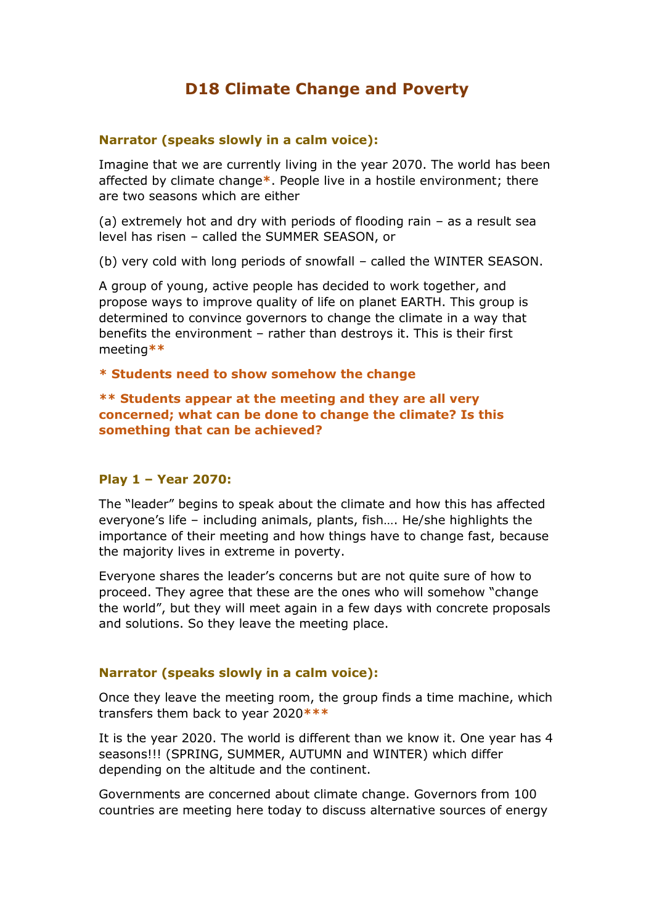# **D18 Climate Change and Poverty**

### **Narrator (speaks slowly in a calm voice):**

Imagine that we are currently living in the year 2070. The world has been affected by climate change**\***. People live in a hostile environment; there are two seasons which are either

(a) extremely hot and dry with periods of flooding rain – as a result sea level has risen – called the SUMMER SEASON, or

(b) very cold with long periods of snowfall – called the WINTER SEASON.

A group of young, active people has decided to work together, and propose ways to improve quality of life on planet EARTH. This group is determined to convince governors to change the climate in a way that benefits the environment – rather than destroys it. This is their first meeting**\*\***

**\* Students need to show somehow the change**

**\*\* Students appear at the meeting and they are all very concerned; what can be done to change the climate? Is this something that can be achieved?**

#### **Play 1 – Year 2070:**

The "leader" begins to speak about the climate and how this has affected everyone's life – including animals, plants, fish…. He/she highlights the importance of their meeting and how things have to change fast, because the majority lives in extreme in poverty.

Everyone shares the leader's concerns but are not quite sure of how to proceed. They agree that these are the ones who will somehow "change the world", but they will meet again in a few days with concrete proposals and solutions. So they leave the meeting place.

#### **Narrator (speaks slowly in a calm voice):**

Once they leave the meeting room, the group finds a time machine, which transfers them back to year 2020**\*\*\***

It is the year 2020. The world is different than we know it. One year has 4 seasons!!! (SPRING, SUMMER, AUTUMN and WINTER) which differ depending on the altitude and the continent.

Governments are concerned about climate change. Governors from 100 countries are meeting here today to discuss alternative sources of energy